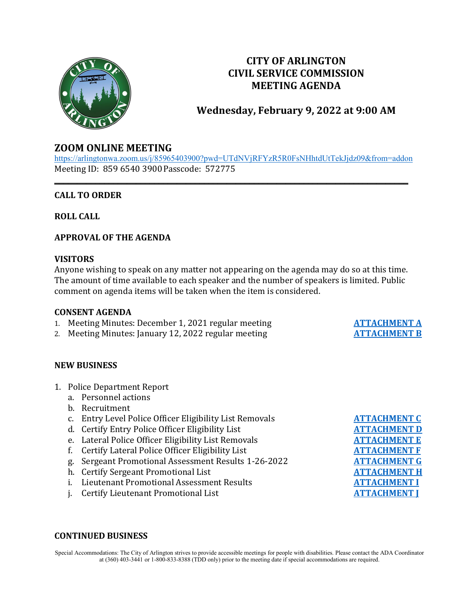

# **CITY OF ARLINGTON CIVIL SERVICE COMMISSION MEETING AGENDA**

**Wednesday, February 9, 2022 at 9:00 AM**

# **ZOOM ONLINE MEETING**

<https://arlingtonwa.zoom.us/j/85965403900?pwd=UTdNVjRFYzR5R0FsNHhtdUtTekJjdz09&from=addon> Meeting ID: 859 6540 3900Passcode: 572775

**\_\_\_\_\_\_\_\_\_\_\_\_\_\_\_\_\_\_\_\_\_\_\_\_\_\_\_\_\_\_\_\_\_\_\_\_\_\_\_\_\_\_\_\_\_\_\_\_\_\_\_\_\_\_\_\_\_\_\_\_\_\_\_\_\_\_\_\_\_\_\_\_\_\_\_\_\_\_**

# **CALL TO ORDER**

**ROLL CALL**

# **APPROVAL OF THE AGENDA**

# **VISITORS**

Anyone wishing to speak on any matter not appearing on the agenda may do so at this time. The amount of time available to each speaker and the number of speakers is limited. Public comment on agenda items will be taken when the item is considered.

#### **CONSENT AGENDA**

- 1. Meeting Minutes: December 1, 2021 regular meeting **[ATTACHMENT A](https://www.arlingtonwa.gov/DocumentCenter/View/6632/ATTACHMENT-A-12-1-2021-Meeting-Minutes)**<br>2. Meeting Minutes: January 12. 2022 regular meeting **ATTACHMENT B**
- 2. Meeting Minutes: January 12, 2022 regular meeting

# **NEW BUSINESS**

- 1. Police Department Report
	- a. Personnel actions
	- b. Recruitment
	- c. Entry Level Police Officer Eligibility List Removals
	- d. Certify Entry Police Officer Eligibility List
	- e. Lateral Police Officer Eligibility List Removals
	- f. Certify Lateral Police Officer Eligibility List
	- g. Sergeant Promotional Assessment Results 1-26-2022
	- h. Certify Sergeant Promotional List
	- **i.** Lieutenant Promotional Assessment Results
	- j. Certify Lieutenant Promotional List

#### **CONTINUED BUSINESS**

Special Accommodations: The City of Arlington strives to provide accessible meetings for people with disabilities. Please contact the ADA Coordinator at (360) 403-3441 or 1-800-833-8388 (TDD only) prior to the meeting date if special accommodations are required.

| <b>ATTACHMENT C</b> |  |
|---------------------|--|
| <b>ATTACHMENT D</b> |  |
| <b>ATTACHMENT E</b> |  |
| <b>ATTACHMENT F</b> |  |
| <b>ATTACHMENT G</b> |  |
| <b>ATTACHMENT H</b> |  |
| <b>ATTACHMENT I</b> |  |
| <b>ATTACHMENT J</b> |  |